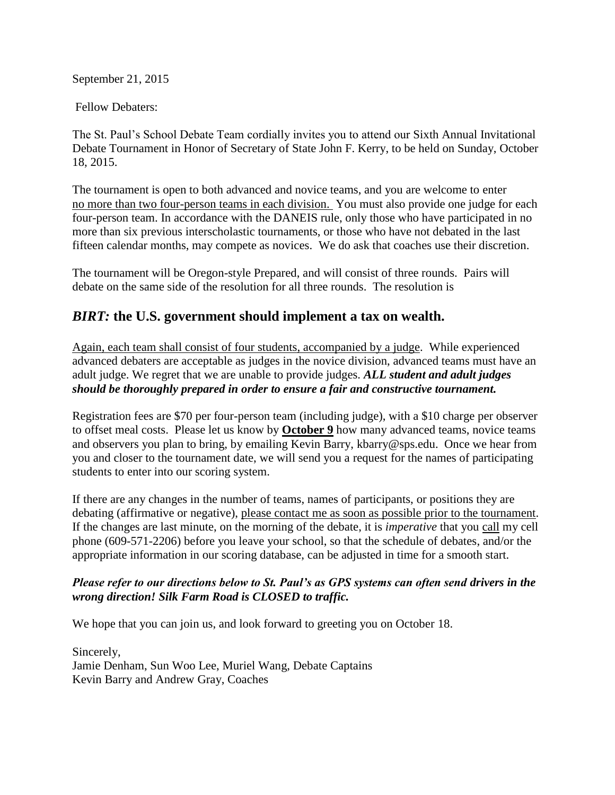September 21, 2015

Fellow Debaters:

The St. Paul's School Debate Team cordially invites you to attend our Sixth Annual Invitational Debate Tournament in Honor of Secretary of State John F. Kerry, to be held on Sunday, October 18, 2015.

The tournament is open to both advanced and novice teams, and you are welcome to enter no more than two four-person teams in each division. You must also provide one judge for each four-person team. In accordance with the DANEIS rule, only those who have participated in no more than six previous interscholastic tournaments, or those who have not debated in the last fifteen calendar months, may compete as novices. We do ask that coaches use their discretion.

The tournament will be Oregon-style Prepared, and will consist of three rounds. Pairs will debate on the same side of the resolution for all three rounds. The resolution is

## *BIRT:* **the U.S. government should implement a tax on wealth.**

Again, each team shall consist of four students, accompanied by a judge. While experienced advanced debaters are acceptable as judges in the novice division, advanced teams must have an adult judge. We regret that we are unable to provide judges. *ALL student and adult judges should be thoroughly prepared in order to ensure a fair and constructive tournament.*

Registration fees are \$70 per four-person team (including judge), with a \$10 charge per observer to offset meal costs. Please let us know by **October 9** how many advanced teams, novice teams and observers you plan to bring, by emailing Kevin Barry, kbarry@sps.edu. Once we hear from you and closer to the tournament date, we will send you a request for the names of participating students to enter into our scoring system.

If there are any changes in the number of teams, names of participants, or positions they are debating (affirmative or negative), please contact me as soon as possible prior to the tournament. If the changes are last minute, on the morning of the debate, it is *imperative* that you call my cell phone (609-571-2206) before you leave your school, so that the schedule of debates, and/or the appropriate information in our scoring database, can be adjusted in time for a smooth start.

#### *Please refer to our directions below to St. Paul's as GPS systems can often send drivers in the wrong direction! Silk Farm Road is CLOSED to traffic.*

We hope that you can join us, and look forward to greeting you on October 18.

Sincerely, Jamie Denham, Sun Woo Lee, Muriel Wang, Debate Captains Kevin Barry and Andrew Gray, Coaches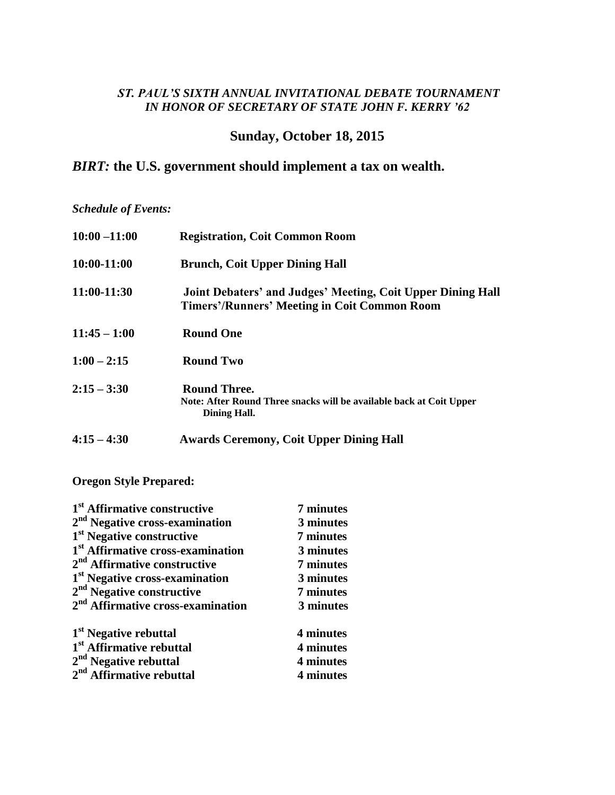### *ST. PAUL'S SIXTH ANNUAL INVITATIONAL DEBATE TOURNAMENT IN HONOR OF SECRETARY OF STATE JOHN F. KERRY '62*

# **Sunday, October 18, 2015**

# *BIRT:* **the U.S. government should implement a tax on wealth.**

*Schedule of Events:*

| $10:00 - 11:00$ | <b>Registration, Coit Common Room</b>                                                                              |
|-----------------|--------------------------------------------------------------------------------------------------------------------|
| 10:00-11:00     | <b>Brunch, Coit Upper Dining Hall</b>                                                                              |
| 11:00-11:30     | Joint Debaters' and Judges' Meeting, Coit Upper Dining Hall<br><b>Timers'/Runners' Meeting in Coit Common Room</b> |
| $11:45 - 1:00$  | <b>Round One</b>                                                                                                   |
| $1:00 - 2:15$   | <b>Round Two</b>                                                                                                   |
| $2:15 - 3:30$   | <b>Round Three.</b><br>Note: After Round Three snacks will be available back at Coit Upper<br>Dining Hall.         |
| $4:15 - 4:30$   | <b>Awards Ceremony, Coit Upper Dining Hall</b>                                                                     |

**Oregon Style Prepared:**

| 1 <sup>st</sup> Affirmative constructive      | 7 minutes |
|-----------------------------------------------|-----------|
| 2 <sup>nd</sup> Negative cross-examination    | 3 minutes |
| 1 <sup>st</sup> Negative constructive         | 7 minutes |
| 1 <sup>st</sup> Affirmative cross-examination | 3 minutes |
| 2 <sup>nd</sup> Affirmative constructive      | 7 minutes |
| 1 <sup>st</sup> Negative cross-examination    | 3 minutes |
| $2nd$ Negative constructive                   | 7 minutes |
| 2 <sup>nd</sup> Affirmative cross-examination | 3 minutes |
| 1 <sup>st</sup> Negative rebuttal             | 4 minutes |
| 1 <sup>st</sup> Affirmative rebuttal          | 4 minutes |
| $2nd$ Negative rebuttal                       | 4 minutes |
| 2 <sup>nd</sup> Affirmative rebuttal          | 4 minutes |